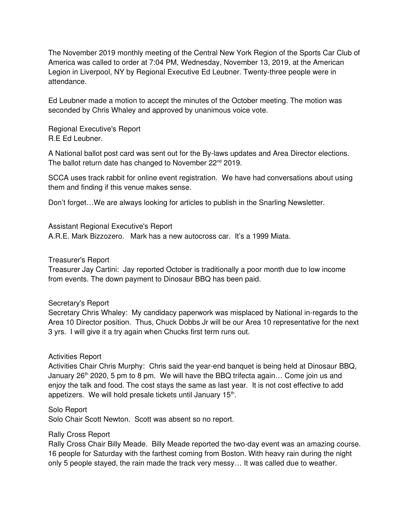The November 2019 monthly meeting of the Central New York Region of the Sports Car Club of America was called to order at 7:04 PM, Wednesday, November 13, 2019, at the American Legion in Liverpool, NY by Regional Executive Ed Leubner. Twenty-three people were in attendance.

Ed Leubner made a motion to accept the minutes of the October meeting. The motion was seconded by Chris Whaley and approved by unanimous voice vote.

Regional Executive's Report R.E Ed Leubner.

A National ballot post card was sent out for the By-laws updates and Area Director elections. The ballot return date has changed to November 22<sup>nd</sup> 2019.

SCCA uses track rabbit for online event registration. We have had conversations about using them and finding if this venue makes sense.

Don't forget…We are always looking for articles to publish in the Snarling Newsletter.

Assistant Regional Executive's Report

A.R.E. Mark Bizzozero. Mark has a new autocross car. It's a 1999 Miata.

#### Treasurer's Report

Treasurer Jay Cartini: Jay reported October is traditionally a poor month due to low income from events. The down payment to Dinosaur BBQ has been paid.

## Secretary's Report

Secretary Chris Whaley: My candidacy paperwork was misplaced by National inregards to the Area 10 Director position. Thus, Chuck Dobbs Jr will be our Area 10 representative for the next 3 yrs. I will give it a try again when Chucks first term runs out.

## Activities Report

Activities Chair Chris Murphy: Chris said the year-end banquet is being held at Dinosaur BBQ, January  $26<sup>th</sup>$  2020, 5 pm to 8 pm. We will have the BBQ trifecta again... Come join us and enjoy the talk and food. The cost stays the same as last year. It is not cost effective to add appetizers. We will hold presale tickets until January 15<sup>th</sup>.

#### Solo Report

Solo Chair Scott Newton. Scott was absent so no report.

#### Rally Cross Report

Rally Cross Chair Billy Meade. Billy Meade reported the two-day event was an amazing course. 16 people for Saturday with the farthest coming from Boston. With heavy rain during the night only 5 people stayed, the rain made the track very messy… It was called due to weather.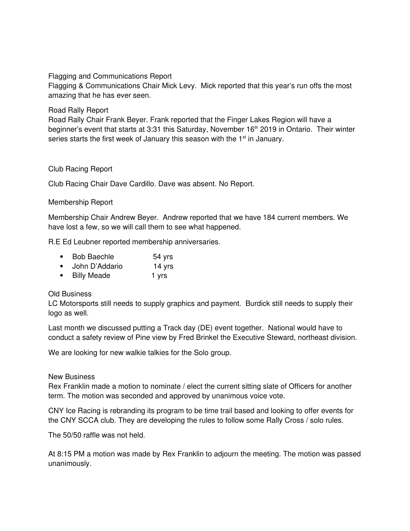## Flagging and Communications Report

Flagging & Communications Chair Mick Levy. Mick reported that this year's run offs the most amazing that he has ever seen.

## Road Rally Report

Road Rally Chair Frank Beyer. Frank reported that the Finger Lakes Region will have a beginner's event that starts at 3:31 this Saturday, November 16<sup>th</sup> 2019 in Ontario. Their winter series starts the first week of January this season with the  $1<sup>st</sup>$  in January.

# Club Racing Report

Club Racing Chair Dave Cardillo. Dave was absent. No Report.

## Membership Report

Membership Chair Andrew Beyer. Andrew reported that we have 184 current members. We have lost a few, so we will call them to see what happened.

R.E Ed Leubner reported membership anniversaries.

| <b>Bob Baechle</b>                      | 54 yrs |
|-----------------------------------------|--------|
| $l$ alan $\mathsf{D}^{\dagger}$ Aalania | 4.4.1  |

John D'Addario 14 yrs

# • Billy Meade 1 yrs

## Old Business

LC Motorsports still needs to supply graphics and payment. Burdick still needs to supply their logo as well.

Last month we discussed putting a Track day (DE) event together. National would have to conduct a safety review of Pine view by Fred Brinkel the Executive Steward, northeast division.

We are looking for new walkie talkies for the Solo group.

## New Business

Rex Franklin made a motion to nominate / elect the current sitting slate of Officers for another term. The motion was seconded and approved by unanimous voice vote.

CNY Ice Racing is rebranding its program to be time trail based and looking to offer events for the CNY SCCA club. They are developing the rules to follow some Rally Cross / solo rules.

The 50/50 raffle was not held.

At 8:15 PM a motion was made by Rex Franklin to adjourn the meeting. The motion was passed unanimously.